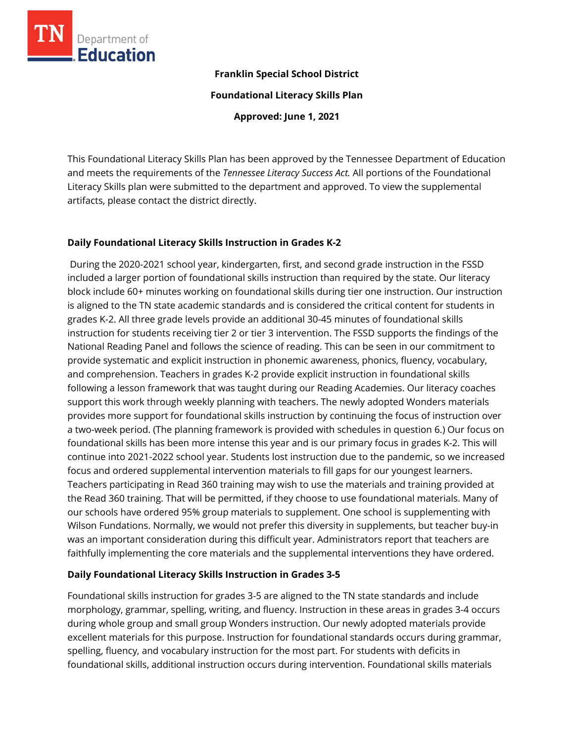

# **Franklin Special School District**

**Foundational Literacy Skills Plan**

**Approved: June 1, 2021**

This Foundational Literacy Skills Plan has been approved by the Tennessee Department of Education and meets the requirements of the *Tennessee Literacy Success Act.* All portions of the Foundational Literacy Skills plan were submitted to the department and approved. To view the supplemental artifacts, please contact the district directly.

# **Daily Foundational Literacy Skills Instruction in Grades K-2**

During the 2020-2021 school year, kindergarten, first, and second grade instruction in the FSSD included a larger portion of foundational skills instruction than required by the state. Our literacy block include 60+ minutes working on foundational skills during tier one instruction. Our instruction is aligned to the TN state academic standards and is considered the critical content for students in grades K-2. All three grade levels provide an additional 30-45 minutes of foundational skills instruction for students receiving tier 2 or tier 3 intervention. The FSSD supports the findings of the National Reading Panel and follows the science of reading. This can be seen in our commitment to provide systematic and explicit instruction in phonemic awareness, phonics, fluency, vocabulary, and comprehension. Teachers in grades K-2 provide explicit instruction in foundational skills following a lesson framework that was taught during our Reading Academies. Our literacy coaches support this work through weekly planning with teachers. The newly adopted Wonders materials provides more support for foundational skills instruction by continuing the focus of instruction over a two-week period. (The planning framework is provided with schedules in question 6.) Our focus on foundational skills has been more intense this year and is our primary focus in grades K-2. This will continue into 2021-2022 school year. Students lost instruction due to the pandemic, so we increased focus and ordered supplemental intervention materials to fill gaps for our youngest learners. Teachers participating in Read 360 training may wish to use the materials and training provided at the Read 360 training. That will be permitted, if they choose to use foundational materials. Many of our schools have ordered 95% group materials to supplement. One school is supplementing with Wilson Fundations. Normally, we would not prefer this diversity in supplements, but teacher buy-in was an important consideration during this difficult year. Administrators report that teachers are faithfully implementing the core materials and the supplemental interventions they have ordered.

# **Daily Foundational Literacy Skills Instruction in Grades 3-5**

Foundational skills instruction for grades 3-5 are aligned to the TN state standards and include morphology, grammar, spelling, writing, and fluency. Instruction in these areas in grades 3-4 occurs during whole group and small group Wonders instruction. Our newly adopted materials provide excellent materials for this purpose. Instruction for foundational standards occurs during grammar, spelling, fluency, and vocabulary instruction for the most part. For students with deficits in foundational skills, additional instruction occurs during intervention. Foundational skills materials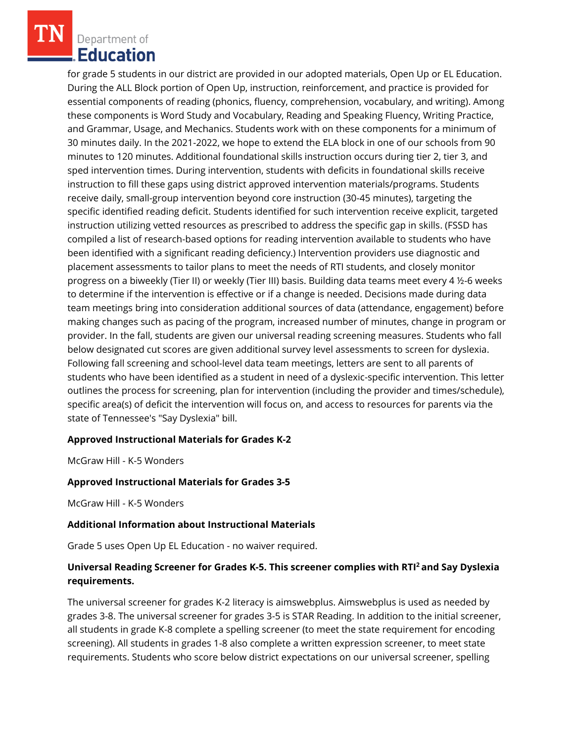Department of **Education** 

for grade 5 students in our district are provided in our adopted materials, Open Up or EL Education. During the ALL Block portion of Open Up, instruction, reinforcement, and practice is provided for essential components of reading (phonics, fluency, comprehension, vocabulary, and writing). Among these components is Word Study and Vocabulary, Reading and Speaking Fluency, Writing Practice, and Grammar, Usage, and Mechanics. Students work with on these components for a minimum of 30 minutes daily. In the 2021-2022, we hope to extend the ELA block in one of our schools from 90 minutes to 120 minutes. Additional foundational skills instruction occurs during tier 2, tier 3, and sped intervention times. During intervention, students with deficits in foundational skills receive instruction to fill these gaps using district approved intervention materials/programs. Students receive daily, small-group intervention beyond core instruction (30-45 minutes), targeting the specific identified reading deficit. Students identified for such intervention receive explicit, targeted instruction utilizing vetted resources as prescribed to address the specific gap in skills. (FSSD has compiled a list of research-based options for reading intervention available to students who have been identified with a significant reading deficiency.) Intervention providers use diagnostic and placement assessments to tailor plans to meet the needs of RTI students, and closely monitor progress on a biweekly (Tier II) or weekly (Tier III) basis. Building data teams meet every 4 ½-6 weeks to determine if the intervention is effective or if a change is needed. Decisions made during data team meetings bring into consideration additional sources of data (attendance, engagement) before making changes such as pacing of the program, increased number of minutes, change in program or provider. In the fall, students are given our universal reading screening measures. Students who fall below designated cut scores are given additional survey level assessments to screen for dyslexia. Following fall screening and school-level data team meetings, letters are sent to all parents of students who have been identified as a student in need of a dyslexic-specific intervention. This letter outlines the process for screening, plan for intervention (including the provider and times/schedule), specific area(s) of deficit the intervention will focus on, and access to resources for parents via the state of Tennessee's "Say Dyslexia" bill.

# **Approved Instructional Materials for Grades K-2**

McGraw Hill - K-5 Wonders

# **Approved Instructional Materials for Grades 3-5**

McGraw Hill - K-5 Wonders

#### **Additional Information about Instructional Materials**

Grade 5 uses Open Up EL Education - no waiver required.

# **Universal Reading Screener for Grades K-5. This screener complies with RTI<sup>2</sup>and Say Dyslexia requirements.**

The universal screener for grades K-2 literacy is aimswebplus. Aimswebplus is used as needed by grades 3-8. The universal screener for grades 3-5 is STAR Reading. In addition to the initial screener, all students in grade K-8 complete a spelling screener (to meet the state requirement for encoding screening). All students in grades 1-8 also complete a written expression screener, to meet state requirements. Students who score below district expectations on our universal screener, spelling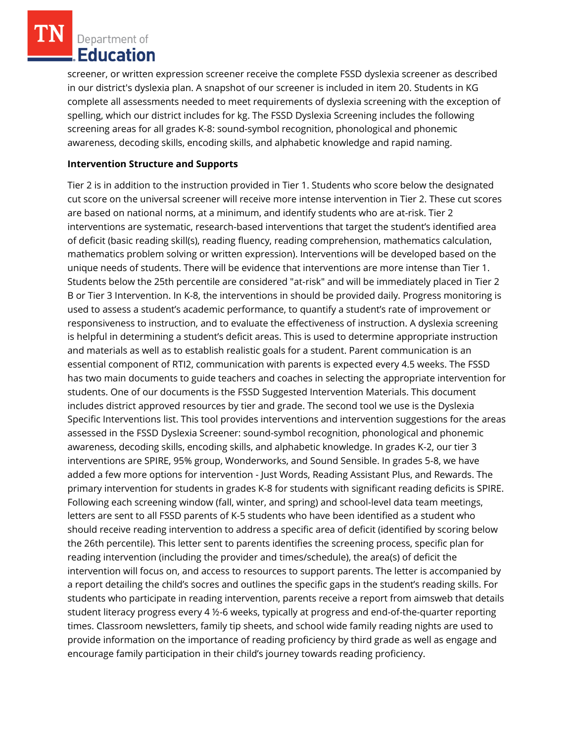Department of **Education** 

screener, or written expression screener receive the complete FSSD dyslexia screener as described in our district's dyslexia plan. A snapshot of our screener is included in item 20. Students in KG complete all assessments needed to meet requirements of dyslexia screening with the exception of spelling, which our district includes for kg. The FSSD Dyslexia Screening includes the following screening areas for all grades K-8: sound-symbol recognition, phonological and phonemic awareness, decoding skills, encoding skills, and alphabetic knowledge and rapid naming.

## **Intervention Structure and Supports**

Tier 2 is in addition to the instruction provided in Tier 1. Students who score below the designated cut score on the universal screener will receive more intense intervention in Tier 2. These cut scores are based on national norms, at a minimum, and identify students who are at-risk. Tier 2 interventions are systematic, research-based interventions that target the student's identified area of deficit (basic reading skill(s), reading fluency, reading comprehension, mathematics calculation, mathematics problem solving or written expression). Interventions will be developed based on the unique needs of students. There will be evidence that interventions are more intense than Tier 1. Students below the 25th percentile are considered "at-risk" and will be immediately placed in Tier 2 B or Tier 3 Intervention. In K-8, the interventions in should be provided daily. Progress monitoring is used to assess a student's academic performance, to quantify a student's rate of improvement or responsiveness to instruction, and to evaluate the effectiveness of instruction. A dyslexia screening is helpful in determining a student's deficit areas. This is used to determine appropriate instruction and materials as well as to establish realistic goals for a student. Parent communication is an essential component of RTI2, communication with parents is expected every 4.5 weeks. The FSSD has two main documents to guide teachers and coaches in selecting the appropriate intervention for students. One of our documents is the FSSD Suggested Intervention Materials. This document includes district approved resources by tier and grade. The second tool we use is the Dyslexia Specific Interventions list. This tool provides interventions and intervention suggestions for the areas assessed in the FSSD Dyslexia Screener: sound-symbol recognition, phonological and phonemic awareness, decoding skills, encoding skills, and alphabetic knowledge. In grades K-2, our tier 3 interventions are SPIRE, 95% group, Wonderworks, and Sound Sensible. In grades 5-8, we have added a few more options for intervention - Just Words, Reading Assistant Plus, and Rewards. The primary intervention for students in grades K-8 for students with significant reading deficits is SPIRE. Following each screening window (fall, winter, and spring) and school-level data team meetings, letters are sent to all FSSD parents of K-5 students who have been identified as a student who should receive reading intervention to address a specific area of deficit (identified by scoring below the 26th percentile). This letter sent to parents identifies the screening process, specific plan for reading intervention (including the provider and times/schedule), the area(s) of deficit the intervention will focus on, and access to resources to support parents. The letter is accompanied by a report detailing the child's socres and outlines the specific gaps in the student's reading skills. For students who participate in reading intervention, parents receive a report from aimsweb that details student literacy progress every 4 ½-6 weeks, typically at progress and end-of-the-quarter reporting times. Classroom newsletters, family tip sheets, and school wide family reading nights are used to provide information on the importance of reading proficiency by third grade as well as engage and encourage family participation in their child's journey towards reading proficiency.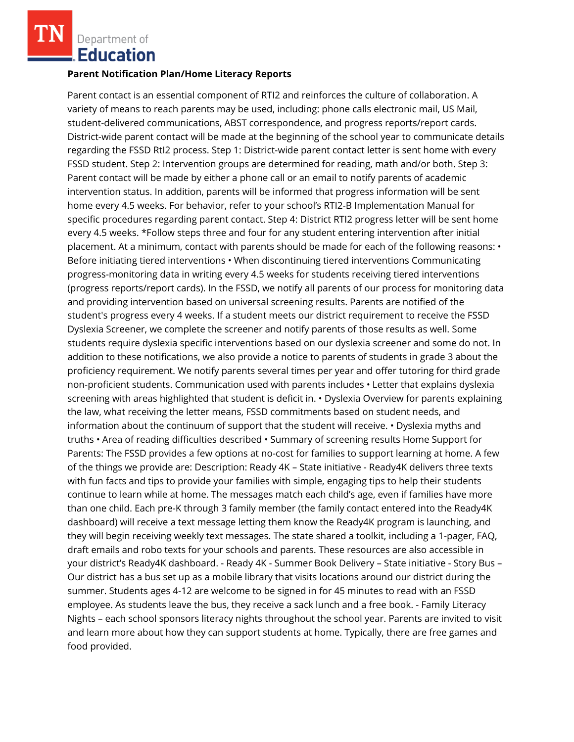Department of **.Education** 

### **Parent Notification Plan/Home Literacy Reports**

Parent contact is an essential component of RTI2 and reinforces the culture of collaboration. A variety of means to reach parents may be used, including: phone calls electronic mail, US Mail, student-delivered communications, ABST correspondence, and progress reports/report cards. District-wide parent contact will be made at the beginning of the school year to communicate details regarding the FSSD RtI2 process. Step 1: District-wide parent contact letter is sent home with every FSSD student. Step 2: Intervention groups are determined for reading, math and/or both. Step 3: Parent contact will be made by either a phone call or an email to notify parents of academic intervention status. In addition, parents will be informed that progress information will be sent home every 4.5 weeks. For behavior, refer to your school's RTI2-B Implementation Manual for specific procedures regarding parent contact. Step 4: District RTI2 progress letter will be sent home every 4.5 weeks. \*Follow steps three and four for any student entering intervention after initial placement. At a minimum, contact with parents should be made for each of the following reasons: • Before initiating tiered interventions • When discontinuing tiered interventions Communicating progress-monitoring data in writing every 4.5 weeks for students receiving tiered interventions (progress reports/report cards). In the FSSD, we notify all parents of our process for monitoring data and providing intervention based on universal screening results. Parents are notified of the student's progress every 4 weeks. If a student meets our district requirement to receive the FSSD Dyslexia Screener, we complete the screener and notify parents of those results as well. Some students require dyslexia specific interventions based on our dyslexia screener and some do not. In addition to these notifications, we also provide a notice to parents of students in grade 3 about the proficiency requirement. We notify parents several times per year and offer tutoring for third grade non-proficient students. Communication used with parents includes • Letter that explains dyslexia screening with areas highlighted that student is deficit in. • Dyslexia Overview for parents explaining the law, what receiving the letter means, FSSD commitments based on student needs, and information about the continuum of support that the student will receive. • Dyslexia myths and truths • Area of reading difficulties described • Summary of screening results Home Support for Parents: The FSSD provides a few options at no-cost for families to support learning at home. A few of the things we provide are: Description: Ready 4K – State initiative - Ready4K delivers three texts with fun facts and tips to provide your families with simple, engaging tips to help their students continue to learn while at home. The messages match each child's age, even if families have more than one child. Each pre-K through 3 family member (the family contact entered into the Ready4K dashboard) will receive a text message letting them know the Ready4K program is launching, and they will begin receiving weekly text messages. The state shared a toolkit, including a 1-pager, FAQ, draft emails and robo texts for your schools and parents. These resources are also accessible in your district's Ready4K dashboard. - Ready 4K - Summer Book Delivery – State initiative - Story Bus – Our district has a bus set up as a mobile library that visits locations around our district during the summer. Students ages 4-12 are welcome to be signed in for 45 minutes to read with an FSSD employee. As students leave the bus, they receive a sack lunch and a free book. - Family Literacy Nights – each school sponsors literacy nights throughout the school year. Parents are invited to visit and learn more about how they can support students at home. Typically, there are free games and food provided.